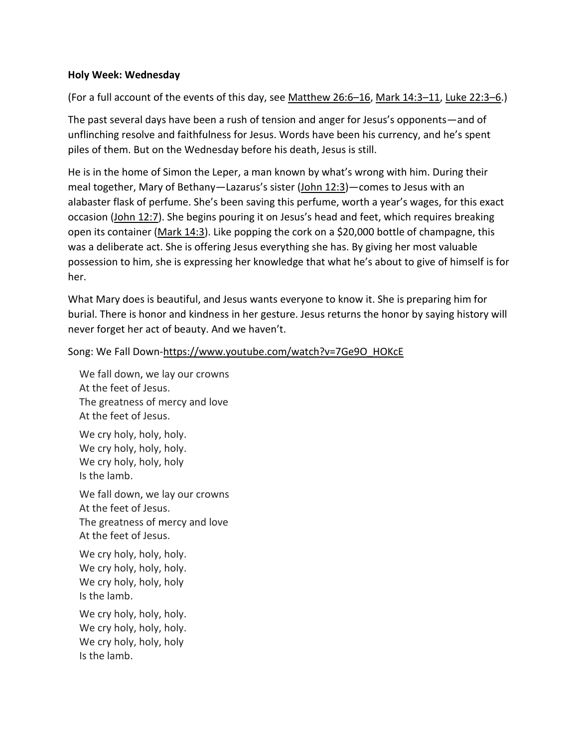## **Holy Week: Wednesday**

(For a full account of the events of this day, see [Matthew 26:6](https://www.esv.org/Matthew%2026%3A6%E2%80%9316/)–16, [Mark 14:3](https://www.esv.org/Mark%2014%3A3%E2%80%9311/)–11, [Luke 22:3](https://www.esv.org/Luke%2022%3A3%E2%80%936/)–6.)

The past several days have been a rush of tension and anger for Jesus's opponents—and of unflinching resolve and faithfulness for Jesus. Words have been his currency, and he's spent piles of them. But on the Wednesday before his death, Jesus is still.

He is in the home of Simon the Leper, a man known by what's wrong with him. During their meal together, Mary of Bethany—Lazarus's sister ([John 12:3\)](https://www.esv.org/John%2012%3A3/)—comes to Jesus with an alabaster flask of perfume. She's been saving this perfume, worth a year's wages, for this exact occasion [\(John 12:7\)](https://www.esv.org/John%2012%3A7/). She begins pouring it on Jesus's head and feet, which requires breaking open its container [\(Mark 14:3\)](https://www.esv.org/Mark%2014%3A3/). Like popping the cork on a \$20,000 bottle of champagne, this was a deliberate act. She is offering Jesus everything she has. By giving her most valuable possession to him, she is expressing her knowledge that what he's about to give of himself is for her.

What Mary does is beautiful, and Jesus wants everyone to know it. She is preparing him for burial. There is honor and kindness in her gesture. Jesus returns the honor by saying history will never forget her act of beauty. And we haven't.

Song: We Fall Down[-https://www.youtube.com/watch?v=7Ge9O\\_HOKcE](https://www.youtube.com/watch?v=7Ge9O_HOKcE)

We fall down, we lay our crowns At the feet of Jesus. The greatness of mercy and love At the feet of Jesus.

We cry holy, holy, holy. We cry holy, holy, holy. We cry holy, holy, holy Is the lamb.

We fall down, we lay our crowns At the feet of Jesus. The greatness of mercy and love At the feet of Jesus.

We cry holy, holy, holy. We cry holy, holy, holy. We cry holy, holy, holy Is the lamb.

We cry holy, holy, holy. We cry holy, holy, holy. We cry holy, holy, holy Is the lamb.